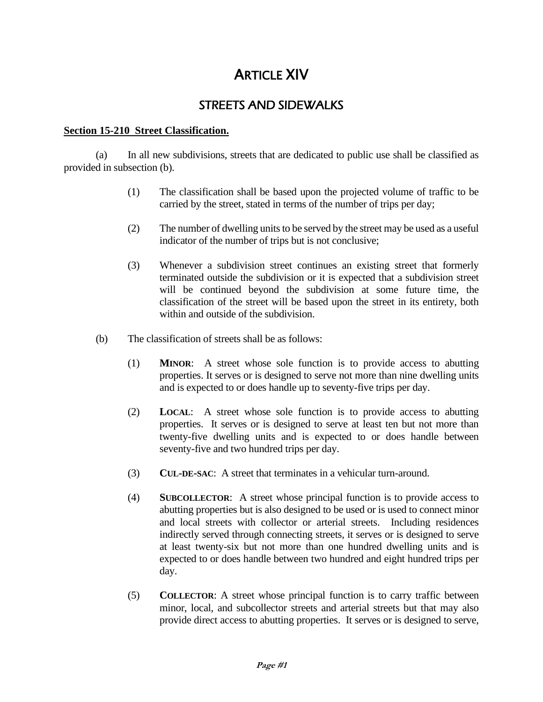# ARTICLE XIV

## STREETS AND SIDEWALKS

## **Section 15-210 Street Classification.**

(a) In all new subdivisions, streets that are dedicated to public use shall be classified as provided in subsection (b).

- (1) The classification shall be based upon the projected volume of traffic to be carried by the street, stated in terms of the number of trips per day;
- (2) The number of dwelling units to be served by the street may be used as a useful indicator of the number of trips but is not conclusive;
- (3) Whenever a subdivision street continues an existing street that formerly terminated outside the subdivision or it is expected that a subdivision street will be continued beyond the subdivision at some future time, the classification of the street will be based upon the street in its entirety, both within and outside of the subdivision.
- (b) The classification of streets shall be as follows:
	- (1) **MINOR**: A street whose sole function is to provide access to abutting properties. It serves or is designed to serve not more than nine dwelling units and is expected to or does handle up to seventy-five trips per day.
	- (2) **LOCAL**: A street whose sole function is to provide access to abutting properties. It serves or is designed to serve at least ten but not more than twenty-five dwelling units and is expected to or does handle between seventy-five and two hundred trips per day.
	- (3) **CUL-DE-SAC**: A street that terminates in a vehicular turn-around.
	- (4) **SUBCOLLECTOR**: A street whose principal function is to provide access to abutting properties but is also designed to be used or is used to connect minor and local streets with collector or arterial streets. Including residences indirectly served through connecting streets, it serves or is designed to serve at least twenty-six but not more than one hundred dwelling units and is expected to or does handle between two hundred and eight hundred trips per day.
	- (5) **COLLECTOR**: A street whose principal function is to carry traffic between minor, local, and subcollector streets and arterial streets but that may also provide direct access to abutting properties. It serves or is designed to serve,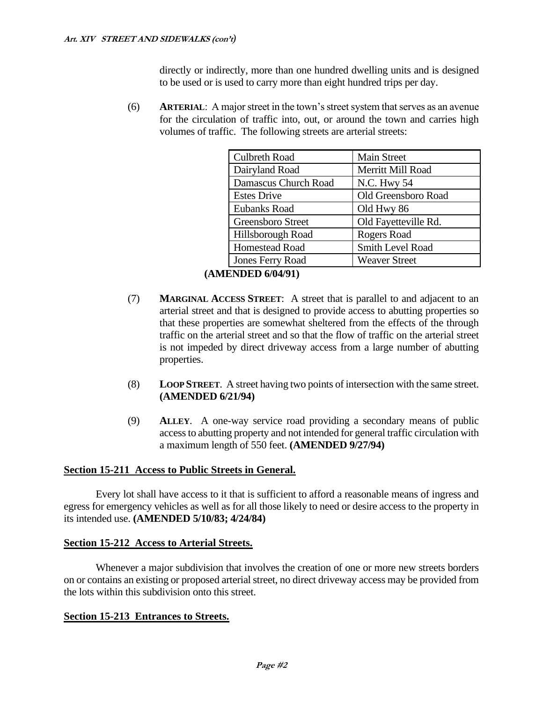directly or indirectly, more than one hundred dwelling units and is designed to be used or is used to carry more than eight hundred trips per day.

(6) **ARTERIAL**: A major street in the town's street system that serves as an avenue for the circulation of traffic into, out, or around the town and carries high volumes of traffic. The following streets are arterial streets:

| <b>Culbreth Road</b>    | <b>Main Street</b>   |
|-------------------------|----------------------|
| Dairyland Road          | Merritt Mill Road    |
| Damascus Church Road    | N.C. Hwy 54          |
| <b>Estes Drive</b>      | Old Greensboro Road  |
| <b>Eubanks Road</b>     | Old Hwy 86           |
| Greensboro Street       | Old Fayetteville Rd. |
| Hillsborough Road       | Rogers Road          |
| <b>Homestead Road</b>   | Smith Level Road     |
| <b>Jones Ferry Road</b> | <b>Weaver Street</b> |

## **(AMENDED 6/04/91)**

- (7) **MARGINAL ACCESS STREET**: A street that is parallel to and adjacent to an arterial street and that is designed to provide access to abutting properties so that these properties are somewhat sheltered from the effects of the through traffic on the arterial street and so that the flow of traffic on the arterial street is not impeded by direct driveway access from a large number of abutting properties.
- (8) **LOOP STREET**. A street having two points of intersection with the same street. **(AMENDED 6/21/94)**
- (9) **ALLEY**. A one-way service road providing a secondary means of public access to abutting property and not intended for general traffic circulation with a maximum length of 550 feet. **(AMENDED 9/27/94)**

## **Section 15-211 Access to Public Streets in General.**

Every lot shall have access to it that is sufficient to afford a reasonable means of ingress and egress for emergency vehicles as well as for all those likely to need or desire access to the property in its intended use. **(AMENDED 5/10/83; 4/24/84)**

## **Section 15-212 Access to Arterial Streets.**

Whenever a major subdivision that involves the creation of one or more new streets borders on or contains an existing or proposed arterial street, no direct driveway access may be provided from the lots within this subdivision onto this street.

## **Section 15-213 Entrances to Streets.**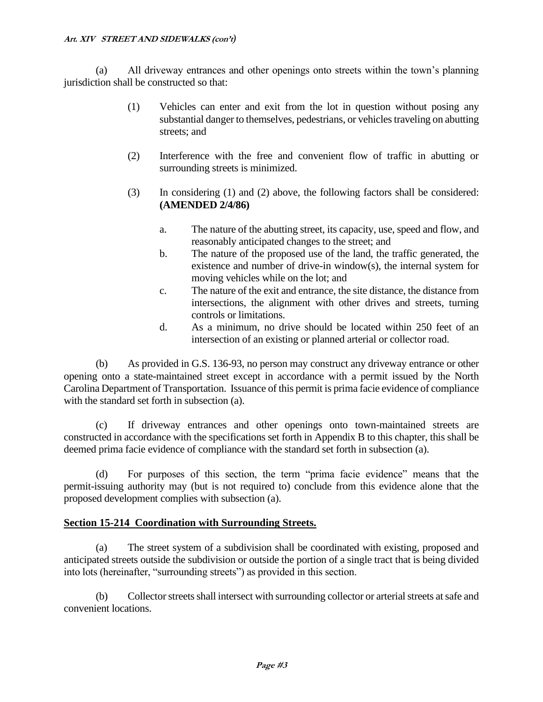(a) All driveway entrances and other openings onto streets within the town's planning jurisdiction shall be constructed so that:

- (1) Vehicles can enter and exit from the lot in question without posing any substantial danger to themselves, pedestrians, or vehicles traveling on abutting streets; and
- (2) Interference with the free and convenient flow of traffic in abutting or surrounding streets is minimized.
- (3) In considering (1) and (2) above, the following factors shall be considered: **(AMENDED 2/4/86)**
	- a. The nature of the abutting street, its capacity, use, speed and flow, and reasonably anticipated changes to the street; and
	- b. The nature of the proposed use of the land, the traffic generated, the existence and number of drive-in window(s), the internal system for moving vehicles while on the lot; and
	- c. The nature of the exit and entrance, the site distance, the distance from intersections, the alignment with other drives and streets, turning controls or limitations.
	- d. As a minimum, no drive should be located within 250 feet of an intersection of an existing or planned arterial or collector road.

(b) As provided in G.S. 136-93, no person may construct any driveway entrance or other opening onto a state-maintained street except in accordance with a permit issued by the North Carolina Department of Transportation. Issuance of this permit is prima facie evidence of compliance with the standard set forth in subsection (a).

(c) If driveway entrances and other openings onto town-maintained streets are constructed in accordance with the specifications set forth in Appendix B to this chapter, this shall be deemed prima facie evidence of compliance with the standard set forth in subsection (a).

(d) For purposes of this section, the term "prima facie evidence" means that the permit-issuing authority may (but is not required to) conclude from this evidence alone that the proposed development complies with subsection (a).

## **Section 15-214 Coordination with Surrounding Streets.**

(a) The street system of a subdivision shall be coordinated with existing, proposed and anticipated streets outside the subdivision or outside the portion of a single tract that is being divided into lots (hereinafter, "surrounding streets") as provided in this section.

(b) Collector streets shall intersect with surrounding collector or arterial streets at safe and convenient locations.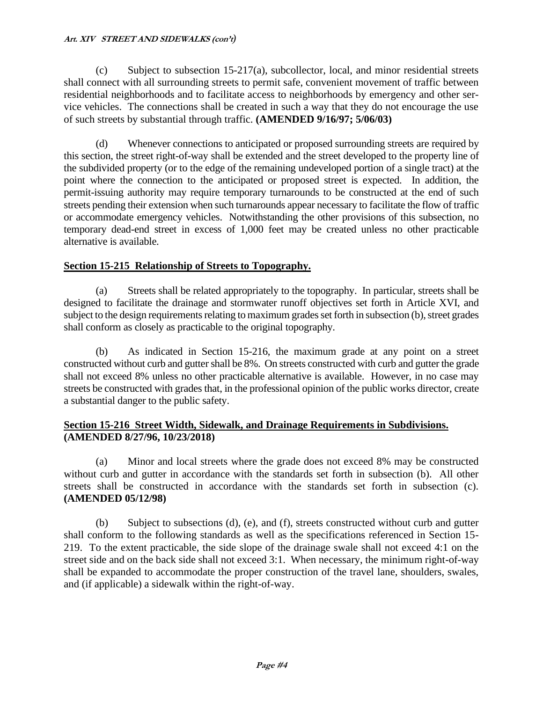$(c)$  Subject to subsection 15-217(a), subcollector, local, and minor residential streets shall connect with all surrounding streets to permit safe, convenient movement of traffic between residential neighborhoods and to facilitate access to neighborhoods by emergency and other service vehicles. The connections shall be created in such a way that they do not encourage the use of such streets by substantial through traffic. **(AMENDED 9/16/97; 5/06/03)**

(d) Whenever connections to anticipated or proposed surrounding streets are required by this section, the street right-of-way shall be extended and the street developed to the property line of the subdivided property (or to the edge of the remaining undeveloped portion of a single tract) at the point where the connection to the anticipated or proposed street is expected. In addition, the permit-issuing authority may require temporary turnarounds to be constructed at the end of such streets pending their extension when such turnarounds appear necessary to facilitate the flow of traffic or accommodate emergency vehicles. Notwithstanding the other provisions of this subsection, no temporary dead-end street in excess of 1,000 feet may be created unless no other practicable alternative is available.

## **Section 15-215 Relationship of Streets to Topography.**

(a) Streets shall be related appropriately to the topography. In particular, streets shall be designed to facilitate the drainage and stormwater runoff objectives set forth in Article XVI, and subject to the design requirements relating to maximum grades set forth in subsection (b), street grades shall conform as closely as practicable to the original topography.

(b) As indicated in Section 15-216, the maximum grade at any point on a street constructed without curb and gutter shall be 8%. On streets constructed with curb and gutter the grade shall not exceed 8% unless no other practicable alternative is available. However, in no case may streets be constructed with grades that, in the professional opinion of the public works director, create a substantial danger to the public safety.

## **Section 15-216 Street Width, Sidewalk, and Drainage Requirements in Subdivisions. (AMENDED 8/27/96, 10/23/2018)**

(a) Minor and local streets where the grade does not exceed 8% may be constructed without curb and gutter in accordance with the standards set forth in subsection (b). All other streets shall be constructed in accordance with the standards set forth in subsection (c). **(AMENDED 05/12/98)**

(b) Subject to subsections (d), (e), and (f), streets constructed without curb and gutter shall conform to the following standards as well as the specifications referenced in Section 15- 219. To the extent practicable, the side slope of the drainage swale shall not exceed 4:1 on the street side and on the back side shall not exceed 3:1. When necessary, the minimum right-of-way shall be expanded to accommodate the proper construction of the travel lane, shoulders, swales, and (if applicable) a sidewalk within the right-of-way.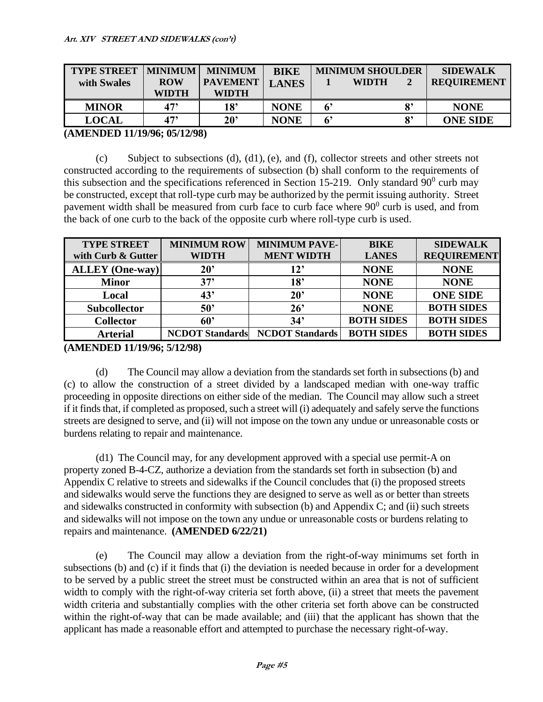| <b>TYPE STREET</b><br>with Swales | <b>MINIMUM</b><br><b>ROW</b><br>WIDTH | <b>MINIMUM</b><br><b>PAVEMENT</b><br><b>WIDTH</b> | <b>BIKE</b><br><b>LANES</b> |             | <b>MINIMUM SHOULDER</b><br><b>WIDTH</b> |    | <b>SIDEWALK</b><br><b>REQUIREMENT</b> |
|-----------------------------------|---------------------------------------|---------------------------------------------------|-----------------------------|-------------|-----------------------------------------|----|---------------------------------------|
| <b>MINOR</b>                      | 47'                                   | 18'                                               | <b>NONE</b>                 | $6^{\circ}$ |                                         | 8' | <b>NONE</b>                           |
| <b>LOCAL</b>                      | 47'                                   | $20^{\circ}$                                      | <b>NONE</b>                 | 6'          |                                         | 8' | <b>ONE SIDE</b>                       |

## **(AMENDED 11/19/96; 05/12/98)**

(c) Subject to subsections  $(d)$ ,  $(d1)$ ,  $(e)$ , and  $(f)$ , collector streets and other streets not constructed according to the requirements of subsection (b) shall conform to the requirements of this subsection and the specifications referenced in Section 15-219. Only standard  $90^{\circ}$  curb may be constructed, except that roll-type curb may be authorized by the permit issuing authority. Street pavement width shall be measured from curb face to curb face where  $90<sup>0</sup>$  curb is used, and from the back of one curb to the back of the opposite curb where roll-type curb is used.

| <b>TYPE STREET</b>     | <b>MINIMUM ROW</b>     | <b>MINIMUM PAVE-</b>   | <b>BIKE</b>       | <b>SIDEWALK</b>    |
|------------------------|------------------------|------------------------|-------------------|--------------------|
| with Curb & Gutter     | <b>WIDTH</b>           | <b>MENT WIDTH</b>      | <b>LANES</b>      | <b>REQUIREMENT</b> |
| <b>ALLEY</b> (One-way) | $20^{\circ}$           | 12'                    | <b>NONE</b>       | <b>NONE</b>        |
| <b>Minor</b>           | 37'                    | 18'                    | <b>NONE</b>       | <b>NONE</b>        |
| Local                  | 43'                    | 20 <sup>2</sup>        | <b>NONE</b>       | <b>ONE SIDE</b>    |
| <b>Subcollector</b>    | 50 <sup>o</sup>        | 26'                    | <b>NONE</b>       | <b>BOTH SIDES</b>  |
| <b>Collector</b>       | 60'                    | 34'                    | <b>BOTH SIDES</b> | <b>BOTH SIDES</b>  |
| <b>Arterial</b>        | <b>NCDOT</b> Standards | <b>NCDOT</b> Standards | <b>BOTH SIDES</b> | <b>BOTH SIDES</b>  |

**(AMENDED 11/19/96; 5/12/98)**

(d) The Council may allow a deviation from the standards set forth in subsections (b) and (c) to allow the construction of a street divided by a landscaped median with one-way traffic proceeding in opposite directions on either side of the median. The Council may allow such a street if it finds that, if completed as proposed, such a street will (i) adequately and safely serve the functions streets are designed to serve, and (ii) will not impose on the town any undue or unreasonable costs or burdens relating to repair and maintenance.

(d1) The Council may, for any development approved with a special use permit-A on property zoned B-4-CZ, authorize a deviation from the standards set forth in subsection (b) and Appendix C relative to streets and sidewalks if the Council concludes that (i) the proposed streets and sidewalks would serve the functions they are designed to serve as well as or better than streets and sidewalks constructed in conformity with subsection (b) and Appendix C; and (ii) such streets and sidewalks will not impose on the town any undue or unreasonable costs or burdens relating to repairs and maintenance. **(AMENDED 6/22/21)**

(e) The Council may allow a deviation from the right-of-way minimums set forth in subsections (b) and (c) if it finds that (i) the deviation is needed because in order for a development to be served by a public street the street must be constructed within an area that is not of sufficient width to comply with the right-of-way criteria set forth above, (ii) a street that meets the pavement width criteria and substantially complies with the other criteria set forth above can be constructed within the right-of-way that can be made available; and (iii) that the applicant has shown that the applicant has made a reasonable effort and attempted to purchase the necessary right-of-way.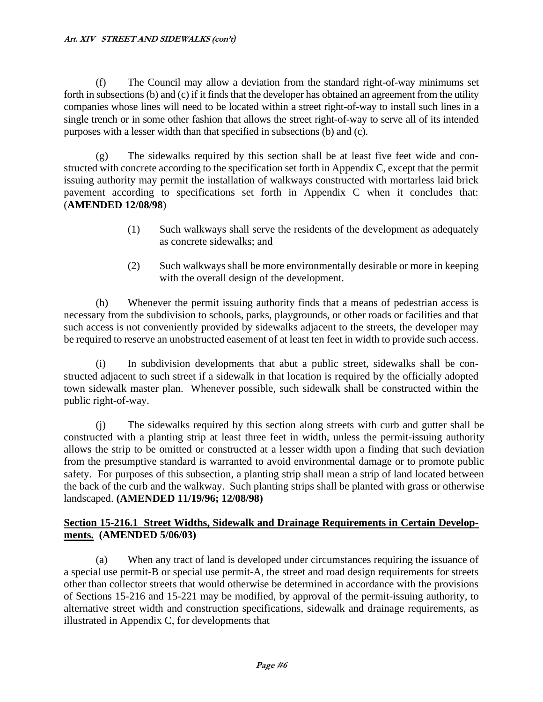(f) The Council may allow a deviation from the standard right-of-way minimums set forth in subsections (b) and (c) if it finds that the developer has obtained an agreement from the utility companies whose lines will need to be located within a street right-of-way to install such lines in a single trench or in some other fashion that allows the street right-of-way to serve all of its intended purposes with a lesser width than that specified in subsections (b) and (c).

(g) The sidewalks required by this section shall be at least five feet wide and constructed with concrete according to the specification set forth in Appendix C, except that the permit issuing authority may permit the installation of walkways constructed with mortarless laid brick pavement according to specifications set forth in Appendix C when it concludes that: (**AMENDED 12/08/98**)

- (1) Such walkways shall serve the residents of the development as adequately as concrete sidewalks; and
- (2) Such walkways shall be more environmentally desirable or more in keeping with the overall design of the development.

(h) Whenever the permit issuing authority finds that a means of pedestrian access is necessary from the subdivision to schools, parks, playgrounds, or other roads or facilities and that such access is not conveniently provided by sidewalks adjacent to the streets, the developer may be required to reserve an unobstructed easement of at least ten feet in width to provide such access.

(i) In subdivision developments that abut a public street, sidewalks shall be constructed adjacent to such street if a sidewalk in that location is required by the officially adopted town sidewalk master plan. Whenever possible, such sidewalk shall be constructed within the public right-of-way.

(j) The sidewalks required by this section along streets with curb and gutter shall be constructed with a planting strip at least three feet in width, unless the permit-issuing authority allows the strip to be omitted or constructed at a lesser width upon a finding that such deviation from the presumptive standard is warranted to avoid environmental damage or to promote public safety. For purposes of this subsection, a planting strip shall mean a strip of land located between the back of the curb and the walkway. Such planting strips shall be planted with grass or otherwise landscaped. **(AMENDED 11/19/96; 12/08/98)**

## **Section 15-216.1 Street Widths, Sidewalk and Drainage Requirements in Certain Developments. (AMENDED 5/06/03)**

(a) When any tract of land is developed under circumstances requiring the issuance of a special use permit-B or special use permit-A, the street and road design requirements for streets other than collector streets that would otherwise be determined in accordance with the provisions of Sections 15-216 and 15-221 may be modified, by approval of the permit-issuing authority, to alternative street width and construction specifications, sidewalk and drainage requirements, as illustrated in Appendix C, for developments that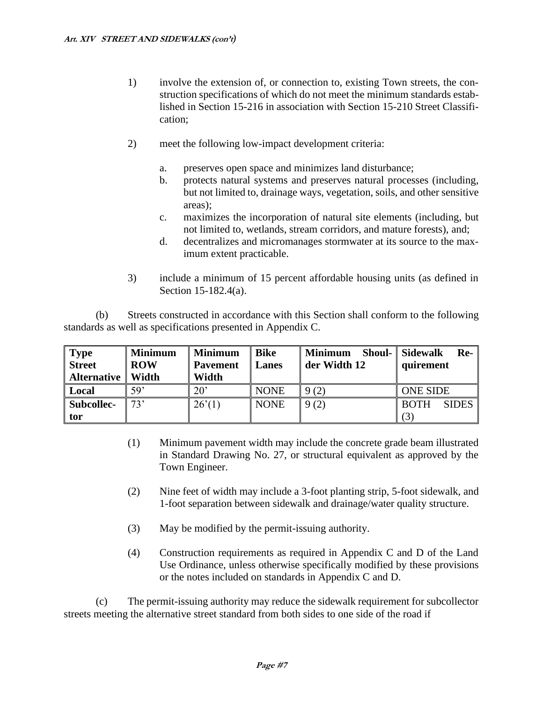- 1) involve the extension of, or connection to, existing Town streets, the construction specifications of which do not meet the minimum standards established in Section 15-216 in association with Section 15-210 Street Classification;
- 2) meet the following low-impact development criteria:
	- a. preserves open space and minimizes land disturbance;
	- b. protects natural systems and preserves natural processes (including, but not limited to, drainage ways, vegetation, soils, and other sensitive areas);
	- c. maximizes the incorporation of natural site elements (including, but not limited to, wetlands, stream corridors, and mature forests), and;
	- d. decentralizes and micromanages stormwater at its source to the maximum extent practicable.
- 3) include a minimum of 15 percent affordable housing units (as defined in Section 15-182.4(a).

(b) Streets constructed in accordance with this Section shall conform to the following standards as well as specifications presented in Appendix C.

| <b>Type</b><br><b>Street</b><br><b>Alternative</b> | <b>Minimum</b><br><b>ROW</b><br>Width | <b>Minimum</b><br><b>Pavement</b><br>Width | <b>Bike</b><br>Lanes | $\parallel$ Minimum<br>der Width 12 | <b>Shoul-</b> Sidewalk<br>Re-<br>quirement |
|----------------------------------------------------|---------------------------------------|--------------------------------------------|----------------------|-------------------------------------|--------------------------------------------|
| Local                                              | 59'                                   | $20^{\circ}$                               | <b>NONE</b>          | 9(2)                                | <b>ONE SIDE</b>                            |
| <b>Subcollec-</b>                                  | 73'                                   | 26'(1)                                     | <b>NONE</b>          | 9(2)                                | <b>SIDES</b><br><b>BOTH</b>                |
| tor                                                |                                       |                                            |                      |                                     | (3)                                        |

- (1) Minimum pavement width may include the concrete grade beam illustrated in Standard Drawing No. 27, or structural equivalent as approved by the Town Engineer.
- (2) Nine feet of width may include a 3-foot planting strip, 5-foot sidewalk, and 1-foot separation between sidewalk and drainage/water quality structure.
- (3) May be modified by the permit-issuing authority.
- (4) Construction requirements as required in Appendix C and D of the Land Use Ordinance, unless otherwise specifically modified by these provisions or the notes included on standards in Appendix C and D.

(c) The permit-issuing authority may reduce the sidewalk requirement for subcollector streets meeting the alternative street standard from both sides to one side of the road if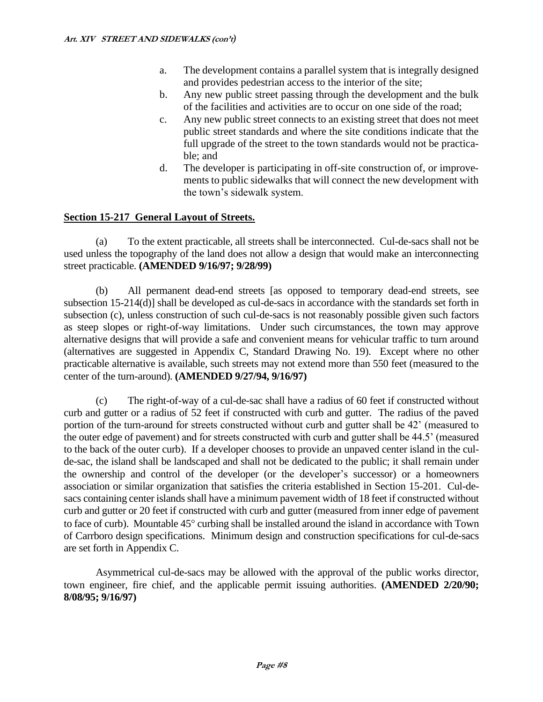- a. The development contains a parallel system that is integrally designed and provides pedestrian access to the interior of the site;
- b. Any new public street passing through the development and the bulk of the facilities and activities are to occur on one side of the road;
- c. Any new public street connects to an existing street that does not meet public street standards and where the site conditions indicate that the full upgrade of the street to the town standards would not be practicable; and
- d. The developer is participating in off-site construction of, or improvements to public sidewalks that will connect the new development with the town's sidewalk system.

## **Section 15-217 General Layout of Streets.**

(a) To the extent practicable, all streets shall be interconnected. Cul-de-sacs shall not be used unless the topography of the land does not allow a design that would make an interconnecting street practicable. **(AMENDED 9/16/97; 9/28/99)**

(b) All permanent dead-end streets [as opposed to temporary dead-end streets, see subsection 15-214(d)] shall be developed as cul-de-sacs in accordance with the standards set forth in subsection (c), unless construction of such cul-de-sacs is not reasonably possible given such factors as steep slopes or right-of-way limitations. Under such circumstances, the town may approve alternative designs that will provide a safe and convenient means for vehicular traffic to turn around (alternatives are suggested in Appendix C, Standard Drawing No. 19). Except where no other practicable alternative is available, such streets may not extend more than 550 feet (measured to the center of the turn-around). **(AMENDED 9/27/94, 9/16/97)**

(c) The right-of-way of a cul-de-sac shall have a radius of 60 feet if constructed without curb and gutter or a radius of 52 feet if constructed with curb and gutter. The radius of the paved portion of the turn-around for streets constructed without curb and gutter shall be 42' (measured to the outer edge of pavement) and for streets constructed with curb and gutter shall be 44.5' (measured to the back of the outer curb). If a developer chooses to provide an unpaved center island in the culde-sac, the island shall be landscaped and shall not be dedicated to the public; it shall remain under the ownership and control of the developer (or the developer's successor) or a homeowners association or similar organization that satisfies the criteria established in Section 15-201. Cul-desacs containing center islands shall have a minimum pavement width of 18 feet if constructed without curb and gutter or 20 feet if constructed with curb and gutter (measured from inner edge of pavement to face of curb). Mountable  $45^{\circ}$  curbing shall be installed around the island in accordance with Town of Carrboro design specifications. Minimum design and construction specifications for cul-de-sacs are set forth in Appendix C.

Asymmetrical cul-de-sacs may be allowed with the approval of the public works director, town engineer, fire chief, and the applicable permit issuing authorities. **(AMENDED 2/20/90; 8/08/95; 9/16/97)**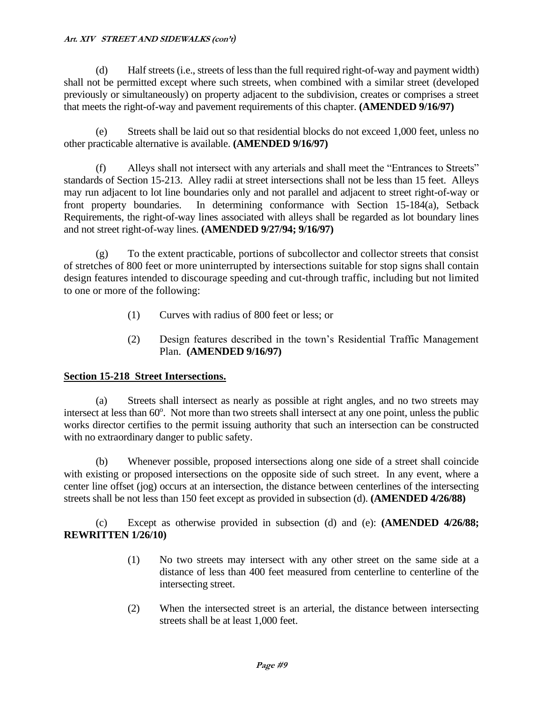(d) Half streets (i.e., streets of less than the full required right-of-way and payment width) shall not be permitted except where such streets, when combined with a similar street (developed previously or simultaneously) on property adjacent to the subdivision, creates or comprises a street that meets the right-of-way and pavement requirements of this chapter. **(AMENDED 9/16/97)**

(e) Streets shall be laid out so that residential blocks do not exceed 1,000 feet, unless no other practicable alternative is available. **(AMENDED 9/16/97)**

(f) Alleys shall not intersect with any arterials and shall meet the "Entrances to Streets" standards of Section 15-213. Alley radii at street intersections shall not be less than 15 feet. Alleys may run adjacent to lot line boundaries only and not parallel and adjacent to street right-of-way or front property boundaries. In determining conformance with Section 15-184(a), Setback Requirements, the right-of-way lines associated with alleys shall be regarded as lot boundary lines and not street right-of-way lines. **(AMENDED 9/27/94; 9/16/97)**

(g) To the extent practicable, portions of subcollector and collector streets that consist of stretches of 800 feet or more uninterrupted by intersections suitable for stop signs shall contain design features intended to discourage speeding and cut-through traffic, including but not limited to one or more of the following:

- (1) Curves with radius of 800 feet or less; or
- (2) Design features described in the town's Residential Traffic Management Plan. **(AMENDED 9/16/97)**

## **Section 15-218 Street Intersections.**

(a) Streets shall intersect as nearly as possible at right angles, and no two streets may intersect at less than 60°. Not more than two streets shall intersect at any one point, unless the public works director certifies to the permit issuing authority that such an intersection can be constructed with no extraordinary danger to public safety.

(b) Whenever possible, proposed intersections along one side of a street shall coincide with existing or proposed intersections on the opposite side of such street. In any event, where a center line offset (jog) occurs at an intersection, the distance between centerlines of the intersecting streets shall be not less than 150 feet except as provided in subsection (d). **(AMENDED 4/26/88)**

(c) Except as otherwise provided in subsection (d) and (e): **(AMENDED 4/26/88; REWRITTEN 1/26/10)**

- (1) No two streets may intersect with any other street on the same side at a distance of less than 400 feet measured from centerline to centerline of the intersecting street.
- (2) When the intersected street is an arterial, the distance between intersecting streets shall be at least 1,000 feet.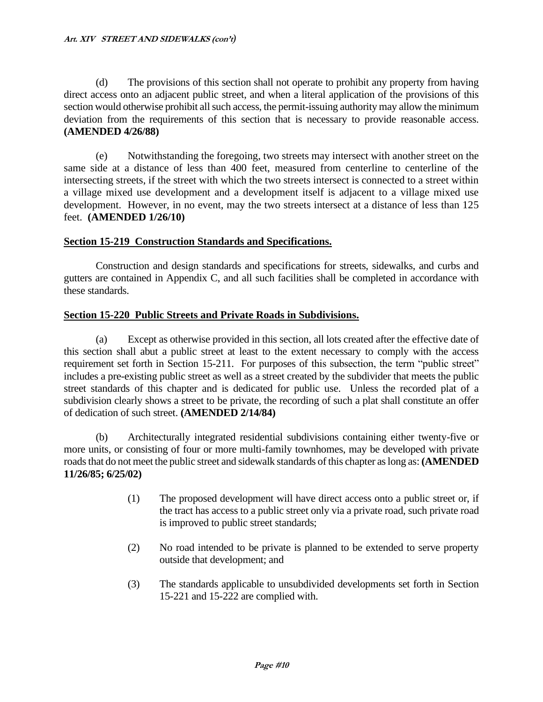(d) The provisions of this section shall not operate to prohibit any property from having direct access onto an adjacent public street, and when a literal application of the provisions of this section would otherwise prohibit all such access, the permit-issuing authority may allow the minimum deviation from the requirements of this section that is necessary to provide reasonable access. **(AMENDED 4/26/88)**

(e) Notwithstanding the foregoing, two streets may intersect with another street on the same side at a distance of less than 400 feet, measured from centerline to centerline of the intersecting streets, if the street with which the two streets intersect is connected to a street within a village mixed use development and a development itself is adjacent to a village mixed use development. However, in no event, may the two streets intersect at a distance of less than 125 feet. **(AMENDED 1/26/10)**

## **Section 15-219 Construction Standards and Specifications.**

Construction and design standards and specifications for streets, sidewalks, and curbs and gutters are contained in Appendix C, and all such facilities shall be completed in accordance with these standards.

## **Section 15-220 Public Streets and Private Roads in Subdivisions.**

(a) Except as otherwise provided in this section, all lots created after the effective date of this section shall abut a public street at least to the extent necessary to comply with the access requirement set forth in Section 15-211. For purposes of this subsection, the term "public street" includes a pre-existing public street as well as a street created by the subdivider that meets the public street standards of this chapter and is dedicated for public use. Unless the recorded plat of a subdivision clearly shows a street to be private, the recording of such a plat shall constitute an offer of dedication of such street. **(AMENDED 2/14/84)**

(b) Architecturally integrated residential subdivisions containing either twenty-five or more units, or consisting of four or more multi-family townhomes, may be developed with private roads that do not meet the public street and sidewalk standards of this chapter as long as: **(AMENDED 11/26/85; 6/25/02)**

- (1) The proposed development will have direct access onto a public street or, if the tract has access to a public street only via a private road, such private road is improved to public street standards;
- (2) No road intended to be private is planned to be extended to serve property outside that development; and
- (3) The standards applicable to unsubdivided developments set forth in Section 15-221 and 15-222 are complied with.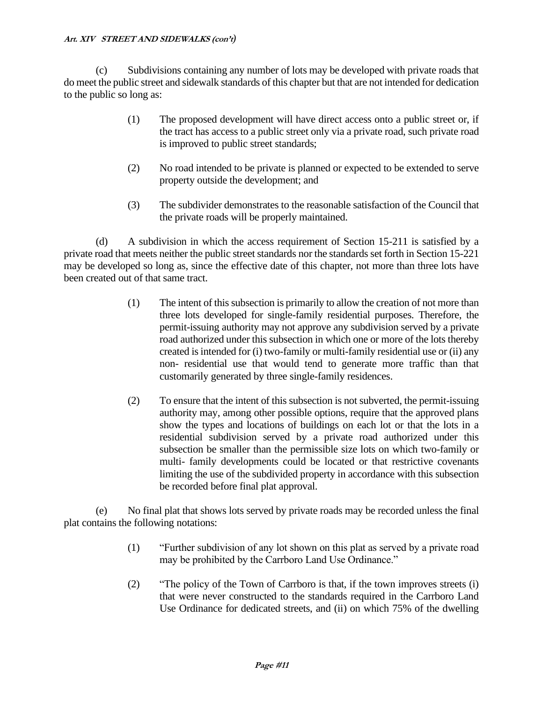(c) Subdivisions containing any number of lots may be developed with private roads that do meet the public street and sidewalk standards of this chapter but that are not intended for dedication to the public so long as:

- (1) The proposed development will have direct access onto a public street or, if the tract has access to a public street only via a private road, such private road is improved to public street standards;
- (2) No road intended to be private is planned or expected to be extended to serve property outside the development; and
- (3) The subdivider demonstrates to the reasonable satisfaction of the Council that the private roads will be properly maintained.

(d) A subdivision in which the access requirement of Section 15-211 is satisfied by a private road that meets neither the public street standards nor the standards set forth in Section 15-221 may be developed so long as, since the effective date of this chapter, not more than three lots have been created out of that same tract.

- (1) The intent of this subsection is primarily to allow the creation of not more than three lots developed for single-family residential purposes. Therefore, the permit-issuing authority may not approve any subdivision served by a private road authorized under this subsection in which one or more of the lots thereby created is intended for (i) two-family or multi-family residential use or (ii) any non- residential use that would tend to generate more traffic than that customarily generated by three single-family residences.
- (2) To ensure that the intent of this subsection is not subverted, the permit-issuing authority may, among other possible options, require that the approved plans show the types and locations of buildings on each lot or that the lots in a residential subdivision served by a private road authorized under this subsection be smaller than the permissible size lots on which two-family or multi- family developments could be located or that restrictive covenants limiting the use of the subdivided property in accordance with this subsection be recorded before final plat approval.

(e) No final plat that shows lots served by private roads may be recorded unless the final plat contains the following notations:

- (1) "Further subdivision of any lot shown on this plat as served by a private road may be prohibited by the Carrboro Land Use Ordinance."
- (2) "The policy of the Town of Carrboro is that, if the town improves streets (i) that were never constructed to the standards required in the Carrboro Land Use Ordinance for dedicated streets, and (ii) on which 75% of the dwelling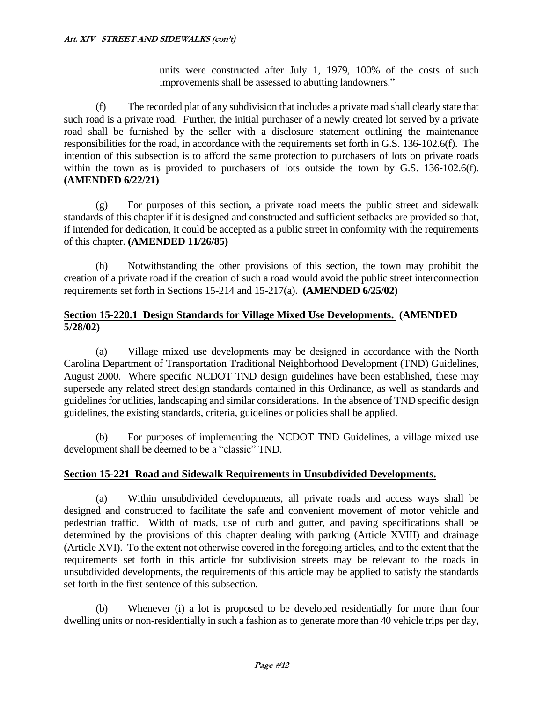units were constructed after July 1, 1979, 100% of the costs of such improvements shall be assessed to abutting landowners."

(f) The recorded plat of any subdivision that includes a private road shall clearly state that such road is a private road. Further, the initial purchaser of a newly created lot served by a private road shall be furnished by the seller with a disclosure statement outlining the maintenance responsibilities for the road, in accordance with the requirements set forth in G.S. 136-102.6(f). The intention of this subsection is to afford the same protection to purchasers of lots on private roads within the town as is provided to purchasers of lots outside the town by G.S. 136-102.6(f). **(AMENDED 6/22/21)**

(g) For purposes of this section, a private road meets the public street and sidewalk standards of this chapter if it is designed and constructed and sufficient setbacks are provided so that, if intended for dedication, it could be accepted as a public street in conformity with the requirements of this chapter. **(AMENDED 11/26/85)**

(h) Notwithstanding the other provisions of this section, the town may prohibit the creation of a private road if the creation of such a road would avoid the public street interconnection requirements set forth in Sections 15-214 and 15-217(a). **(AMENDED 6/25/02)**

## **Section 15-220.1 Design Standards for Village Mixed Use Developments. (AMENDED 5/28/02)**

(a) Village mixed use developments may be designed in accordance with the North Carolina Department of Transportation Traditional Neighborhood Development (TND) Guidelines, August 2000. Where specific NCDOT TND design guidelines have been established, these may supersede any related street design standards contained in this Ordinance, as well as standards and guidelines for utilities, landscaping and similar considerations. In the absence of TND specific design guidelines, the existing standards, criteria, guidelines or policies shall be applied.

(b) For purposes of implementing the NCDOT TND Guidelines, a village mixed use development shall be deemed to be a "classic" TND.

## **Section 15-221 Road and Sidewalk Requirements in Unsubdivided Developments.**

(a) Within unsubdivided developments, all private roads and access ways shall be designed and constructed to facilitate the safe and convenient movement of motor vehicle and pedestrian traffic. Width of roads, use of curb and gutter, and paving specifications shall be determined by the provisions of this chapter dealing with parking (Article XVIII) and drainage (Article XVI). To the extent not otherwise covered in the foregoing articles, and to the extent that the requirements set forth in this article for subdivision streets may be relevant to the roads in unsubdivided developments, the requirements of this article may be applied to satisfy the standards set forth in the first sentence of this subsection.

(b) Whenever (i) a lot is proposed to be developed residentially for more than four dwelling units or non-residentially in such a fashion as to generate more than 40 vehicle trips per day,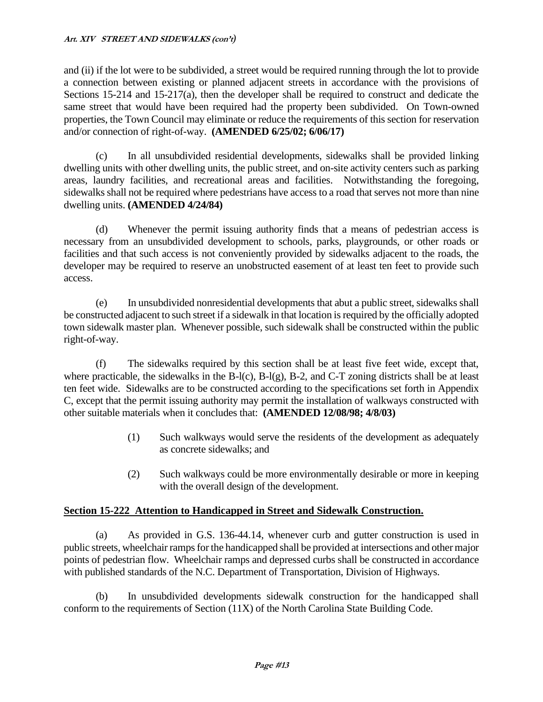and (ii) if the lot were to be subdivided, a street would be required running through the lot to provide a connection between existing or planned adjacent streets in accordance with the provisions of Sections 15-214 and 15-217(a), then the developer shall be required to construct and dedicate the same street that would have been required had the property been subdivided. On Town-owned properties, the Town Council may eliminate or reduce the requirements of this section for reservation and/or connection of right-of-way. **(AMENDED 6/25/02; 6/06/17)**

(c) In all unsubdivided residential developments, sidewalks shall be provided linking dwelling units with other dwelling units, the public street, and on-site activity centers such as parking areas, laundry facilities, and recreational areas and facilities. Notwithstanding the foregoing, sidewalks shall not be required where pedestrians have access to a road that serves not more than nine dwelling units. **(AMENDED 4/24/84)**

(d) Whenever the permit issuing authority finds that a means of pedestrian access is necessary from an unsubdivided development to schools, parks, playgrounds, or other roads or facilities and that such access is not conveniently provided by sidewalks adjacent to the roads, the developer may be required to reserve an unobstructed easement of at least ten feet to provide such access.

(e) In unsubdivided nonresidential developments that abut a public street, sidewalks shall be constructed adjacent to such street if a sidewalk in that location is required by the officially adopted town sidewalk master plan. Whenever possible, such sidewalk shall be constructed within the public right-of-way.

(f) The sidewalks required by this section shall be at least five feet wide, except that, where practicable, the sidewalks in the B-l(c), B-l(g), B-2, and C-T zoning districts shall be at least ten feet wide. Sidewalks are to be constructed according to the specifications set forth in Appendix C, except that the permit issuing authority may permit the installation of walkways constructed with other suitable materials when it concludes that: **(AMENDED 12/08/98; 4/8/03)**

- (1) Such walkways would serve the residents of the development as adequately as concrete sidewalks; and
- (2) Such walkways could be more environmentally desirable or more in keeping with the overall design of the development.

## **Section 15-222 Attention to Handicapped in Street and Sidewalk Construction.**

(a) As provided in G.S. 136-44.14, whenever curb and gutter construction is used in public streets, wheelchair ramps for the handicapped shall be provided at intersections and other major points of pedestrian flow. Wheelchair ramps and depressed curbs shall be constructed in accordance with published standards of the N.C. Department of Transportation, Division of Highways.

(b) In unsubdivided developments sidewalk construction for the handicapped shall conform to the requirements of Section (11X) of the North Carolina State Building Code.